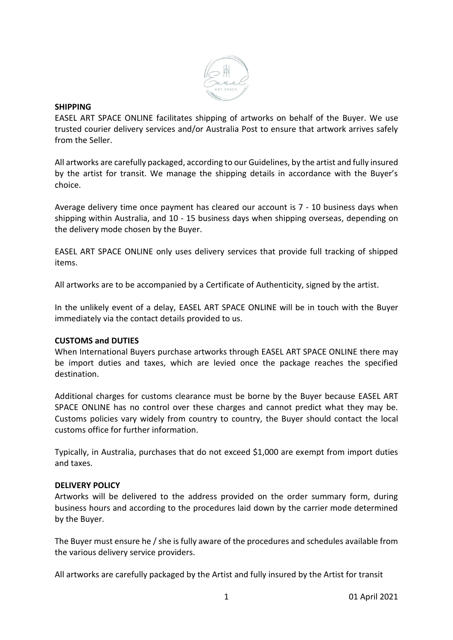

#### **SHIPPING**

EASEL ART SPACE ONLINE facilitates shipping of artworks on behalf of the Buyer. We use trusted courier delivery services and/or Australia Post to ensure that artwork arrives safely from the Seller.

All artworks are carefully packaged, according to our Guidelines, by the artist and fully insured by the artist for transit. We manage the shipping details in accordance with the Buyer's choice.

Average delivery time once payment has cleared our account is 7 - 10 business days when shipping within Australia, and 10 - 15 business days when shipping overseas, depending on the delivery mode chosen by the Buyer.

EASEL ART SPACE ONLINE only uses delivery services that provide full tracking of shipped items.

All artworks are to be accompanied by a Certificate of Authenticity, signed by the artist.

In the unlikely event of a delay, EASEL ART SPACE ONLINE will be in touch with the Buyer immediately via the contact details provided to us.

### **CUSTOMS and DUTIES**

When International Buyers purchase artworks through EASEL ART SPACE ONLINE there may be import duties and taxes, which are levied once the package reaches the specified destination.

Additional charges for customs clearance must be borne by the Buyer because EASEL ART SPACE ONLINE has no control over these charges and cannot predict what they may be. Customs policies vary widely from country to country, the Buyer should contact the local customs office for further information.

Typically, in Australia, purchases that do not exceed \$1,000 are exempt from import duties and taxes.

# **DELIVERY POLICY**

Artworks will be delivered to the address provided on the order summary form, during business hours and according to the procedures laid down by the carrier mode determined by the Buyer.

The Buyer must ensure he / she is fully aware of the procedures and schedules available from the various delivery service providers.

All artworks are carefully packaged by the Artist and fully insured by the Artist for transit